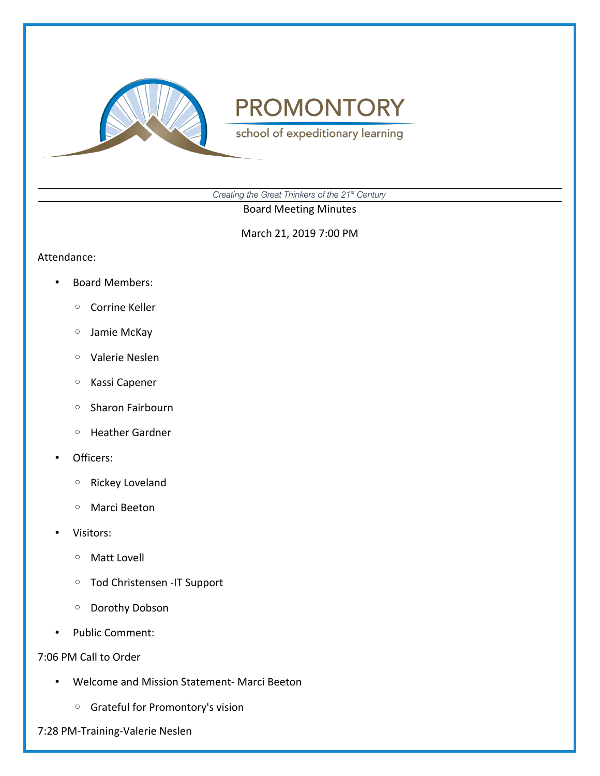

**PROMONTORY** 

school of expeditionary learning

*Creating the Great Thinkers of the 21st Century*

Board Meeting Minutes

March 21, 2019 7:00 PM

#### Attendance:

- Board Members:
	- Corrine Keller
	- Jamie McKay
	- Valerie Neslen
	- Kassi Capener
	- Sharon Fairbourn
	- Heather Gardner
- Officers:
	- Rickey Loveland
	- Marci Beeton
- Visitors:
	- Matt Lovell
	- Tod Christensen -IT Support
	- Dorothy Dobson
- Public Comment:

# 7:06 PM Call to Order

- Welcome and Mission Statement- Marci Beeton
	- Grateful for Promontory's vision
- 7:28 PM-Training-Valerie Neslen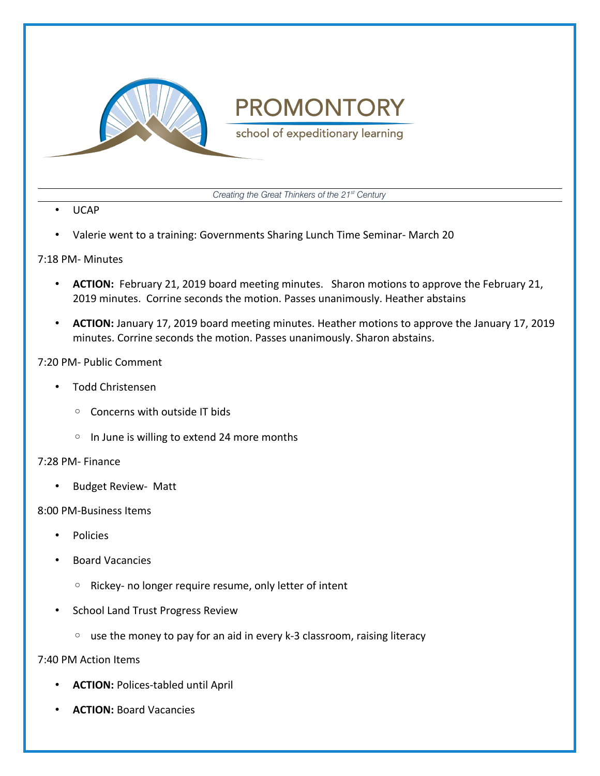

# **PROMONTORY**

school of expeditionary learning

*Creating the Great Thinkers of the 21st Century*

- UCAP
- Valerie went to a training: Governments Sharing Lunch Time Seminar- March 20

#### 7:18 PM- Minutes

- **ACTION:** February 21, 2019 board meeting minutes. Sharon motions to approve the February 21, 2019 minutes. Corrine seconds the motion. Passes unanimously. Heather abstains
- **ACTION:** January 17, 2019 board meeting minutes. Heather motions to approve the January 17, 2019 minutes. Corrine seconds the motion. Passes unanimously. Sharon abstains.

# 7:20 PM- Public Comment

- Todd Christensen
	- Concerns with outside IT bids
	- In June is willing to extend 24 more months

#### 7:28 PM- Finance

• Budget Review- Matt

#### 8:00 PM-Business Items

- Policies
- Board Vacancies
	- Rickey- no longer require resume, only letter of intent
- School Land Trust Progress Review
	- use the money to pay for an aid in every k-3 classroom, raising literacy

# 7:40 PM Action Items

- **ACTION:** Polices-tabled until April
- **ACTION:** Board Vacancies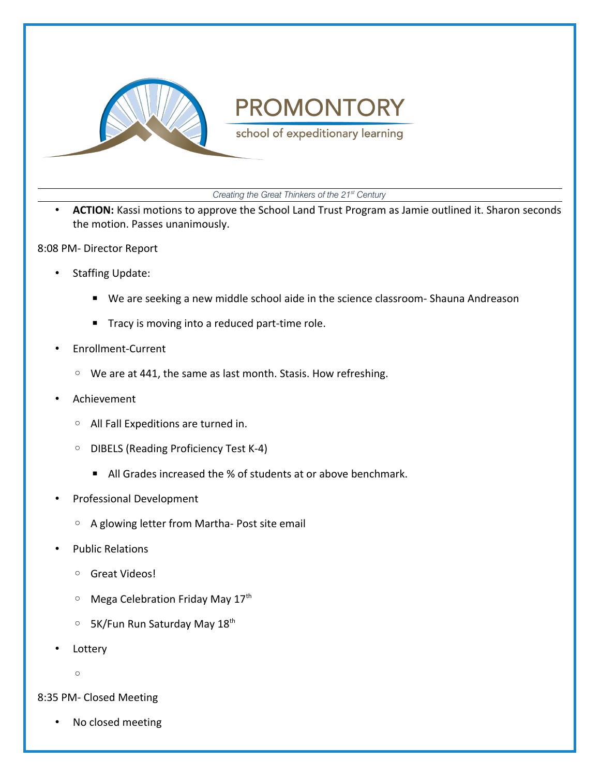

# **PROMONTORY**

school of expeditionary learning

*Creating the Great Thinkers of the 21st Century*

• **ACTION:** Kassi motions to approve the School Land Trust Program as Jamie outlined it. Sharon seconds the motion. Passes unanimously.

8:08 PM- Director Report

- Staffing Update:
	- We are seeking a new middle school aide in the science classroom- Shauna Andreason
	- Tracy is moving into a reduced part-time role.
- Enrollment-Current
	- We are at 441, the same as last month. Stasis. How refreshing.
- Achievement
	- All Fall Expeditions are turned in.
	- DIBELS (Reading Proficiency Test K-4)
		- All Grades increased the % of students at or above benchmark.
- Professional Development
	- A glowing letter from Martha- Post site email
- Public Relations
	- Great Videos!
	- Mega Celebration Friday May 17th
	- 5K/Fun Run Saturday May 18th
- **Lottery** 
	- $\circ$
- 8:35 PM- Closed Meeting
	- No closed meeting